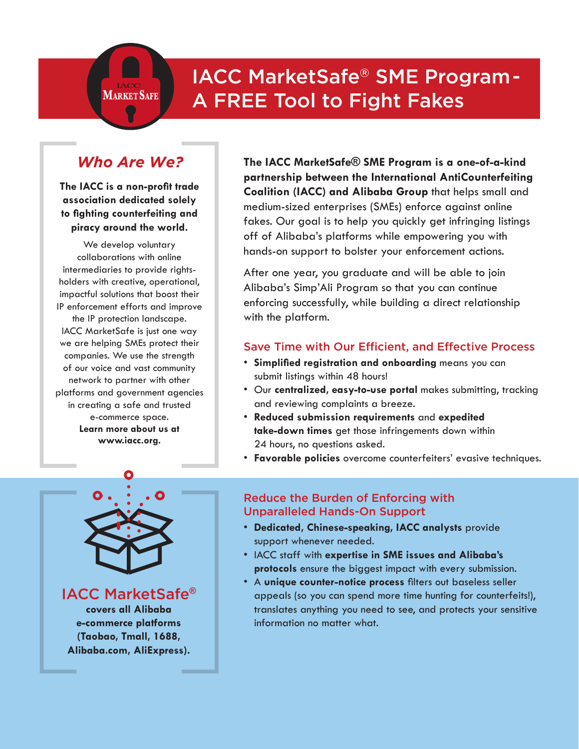# IACC MarketSafe® SME Program - A FREE Tool to Fight Fakes

## *Who Are We?*

**MARKET SAFE**

**The IACC is a non-profit trade association dedicated solely to fighting counterfeiting and piracy around the world.** 

We develop voluntary collaborations with online intermediaries to provide rightsholders with creative, operational, impactful solutions that boost their IP enforcement efforts and improve the IP protection landscape. IACC MarketSafe is just one way we are helping SMEs protect their companies. We use the strength of our voice and vast community network to partner with other platforms and government agencies in creating a safe and trusted e-commerce space. **Learn more about us at www.iacc.org.**

**The IACC MarketSafe® SME Program is a one-of-a-kind partnership between the International AntiCounterfeiting Coalition (IACC) and Alibaba Group** that helps small and medium-sized enterprises (SMEs) enforce against online fakes. Our goal is to help you quickly get infringing listings off of Alibaba's platforms while empowering you with hands-on support to bolster your enforcement actions.

After one year, you graduate and will be able to join Alibaba's Simp'Ali Program so that you can continue enforcing successfully, while building a direct relationship with the platform.

#### Save Time with Our Efficient, and Effective Process

- **Simplified registration and onboarding** means you can submit listings within 48 hours!
- Our **centralized, easy-to-use portal** makes submitting, tracking and reviewing complaints a breeze.
- **Reduced submission requirements** and **expedited take-down times** get those infringements down within 24 hours, no questions asked.
- **Favorable policies** overcome counterfeiters' evasive techniques.



IACC MarketSafe**® covers all Alibaba e-commerce platforms (Taobao, Tmall, 1688, Alibaba.com, AliExpress).**

#### Reduce the Burden of Enforcing with Unparalleled Hands-On Support

- **Dedicated, Chinese-speaking, IACC analysts** provide support whenever needed.
- IACC staff with **expertise in SME issues and Alibaba's protocols** ensure the biggest impact with every submission.
- A **unique counter-notice process** filters out baseless seller appeals (so you can spend more time hunting for counterfeits!), translates anything you need to see, and protects your sensitive information no matter what.